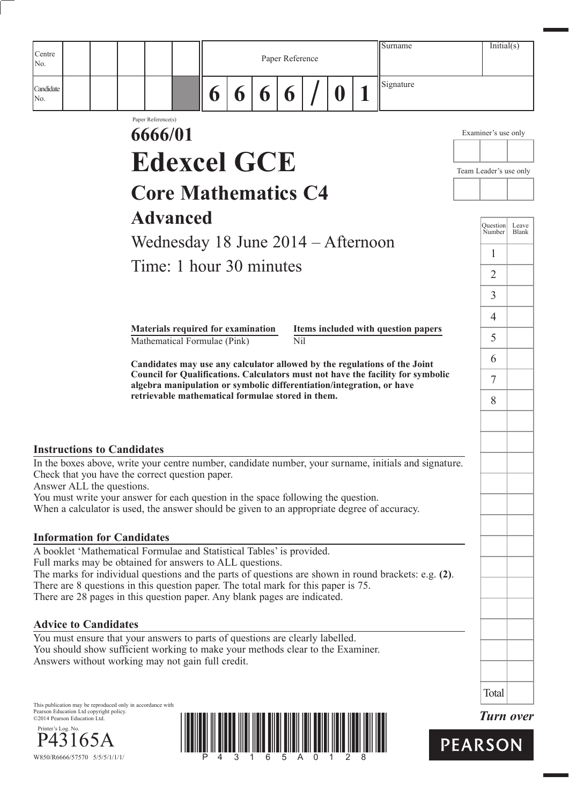| Centre                                                                                                                                                                                                               |                                                                       |   |   |   |                 |                  | Surname                                                                         | Initial(s)                |                       |
|----------------------------------------------------------------------------------------------------------------------------------------------------------------------------------------------------------------------|-----------------------------------------------------------------------|---|---|---|-----------------|------------------|---------------------------------------------------------------------------------|---------------------------|-----------------------|
| No.                                                                                                                                                                                                                  |                                                                       |   |   |   | Paper Reference |                  |                                                                                 |                           |                       |
| Candidate<br>No.                                                                                                                                                                                                     |                                                                       | 6 | 6 | 6 | 6               | $\boldsymbol{0}$ | Signature                                                                       |                           |                       |
|                                                                                                                                                                                                                      | Paper Reference(s)<br>6666/01                                         |   |   |   |                 |                  |                                                                                 | Examiner's use only       |                       |
|                                                                                                                                                                                                                      | <b>Edexcel GCE</b>                                                    |   |   |   |                 |                  |                                                                                 | Team Leader's use only    |                       |
|                                                                                                                                                                                                                      | <b>Core Mathematics C4</b>                                            |   |   |   |                 |                  |                                                                                 |                           |                       |
|                                                                                                                                                                                                                      | <b>Advanced</b>                                                       |   |   |   |                 |                  |                                                                                 |                           |                       |
|                                                                                                                                                                                                                      | Wednesday 18 June 2014 – Afternoon                                    |   |   |   |                 |                  |                                                                                 | <b>Question</b><br>Number | Leave<br><b>Blank</b> |
|                                                                                                                                                                                                                      |                                                                       |   |   |   |                 |                  |                                                                                 | 1                         |                       |
|                                                                                                                                                                                                                      | Time: 1 hour 30 minutes                                               |   |   |   |                 |                  |                                                                                 | $\overline{2}$            |                       |
|                                                                                                                                                                                                                      |                                                                       |   |   |   |                 |                  |                                                                                 | $\overline{3}$            |                       |
|                                                                                                                                                                                                                      |                                                                       |   |   |   |                 |                  |                                                                                 | 4                         |                       |
|                                                                                                                                                                                                                      | Materials required for examination<br>Mathematical Formulae (Pink)    |   |   |   | Nil             |                  | Items included with question papers                                             | 5                         |                       |
|                                                                                                                                                                                                                      |                                                                       |   |   |   |                 |                  | Candidates may use any calculator allowed by the regulations of the Joint       | 6                         |                       |
|                                                                                                                                                                                                                      | algebra manipulation or symbolic differentiation/integration, or have |   |   |   |                 |                  | Council for Qualifications. Calculators must not have the facility for symbolic | $\overline{7}$            |                       |
|                                                                                                                                                                                                                      | retrievable mathematical formulae stored in them.                     |   |   |   |                 |                  |                                                                                 | 8                         |                       |
|                                                                                                                                                                                                                      |                                                                       |   |   |   |                 |                  |                                                                                 |                           |                       |
| <b>Instructions to Candidates</b>                                                                                                                                                                                    |                                                                       |   |   |   |                 |                  |                                                                                 |                           |                       |
| In the boxes above, write your centre number, candidate number, your surname, initials and signature.<br>Check that you have the correct question paper.                                                             |                                                                       |   |   |   |                 |                  |                                                                                 |                           |                       |
| Answer ALL the questions.                                                                                                                                                                                            |                                                                       |   |   |   |                 |                  |                                                                                 |                           |                       |
| You must write your answer for each question in the space following the question.<br>When a calculator is used, the answer should be given to an appropriate degree of accuracy.                                     |                                                                       |   |   |   |                 |                  |                                                                                 |                           |                       |
| <b>Information for Candidates</b>                                                                                                                                                                                    |                                                                       |   |   |   |                 |                  |                                                                                 |                           |                       |
| A booklet 'Mathematical Formulae and Statistical Tables' is provided.                                                                                                                                                |                                                                       |   |   |   |                 |                  |                                                                                 |                           |                       |
| Full marks may be obtained for answers to ALL questions.<br>The marks for individual questions and the parts of questions are shown in round brackets: e.g. (2).                                                     |                                                                       |   |   |   |                 |                  |                                                                                 |                           |                       |
| There are 8 questions in this question paper. The total mark for this paper is 75.                                                                                                                                   |                                                                       |   |   |   |                 |                  |                                                                                 |                           |                       |
| There are 28 pages in this question paper. Any blank pages are indicated.                                                                                                                                            |                                                                       |   |   |   |                 |                  |                                                                                 |                           |                       |
| <b>Advice to Candidates</b>                                                                                                                                                                                          |                                                                       |   |   |   |                 |                  |                                                                                 |                           |                       |
| You must ensure that your answers to parts of questions are clearly labelled.<br>You should show sufficient working to make your methods clear to the Examiner.<br>Answers without working may not gain full credit. |                                                                       |   |   |   |                 |                  |                                                                                 |                           |                       |
|                                                                                                                                                                                                                      |                                                                       |   |   |   |                 |                  |                                                                                 | Total                     |                       |

This publication may be reproduced only in accordance with Pearson Education Ltd copyright policy. ©2014 Pearson Education Ltd.

P43165A





*Turn over*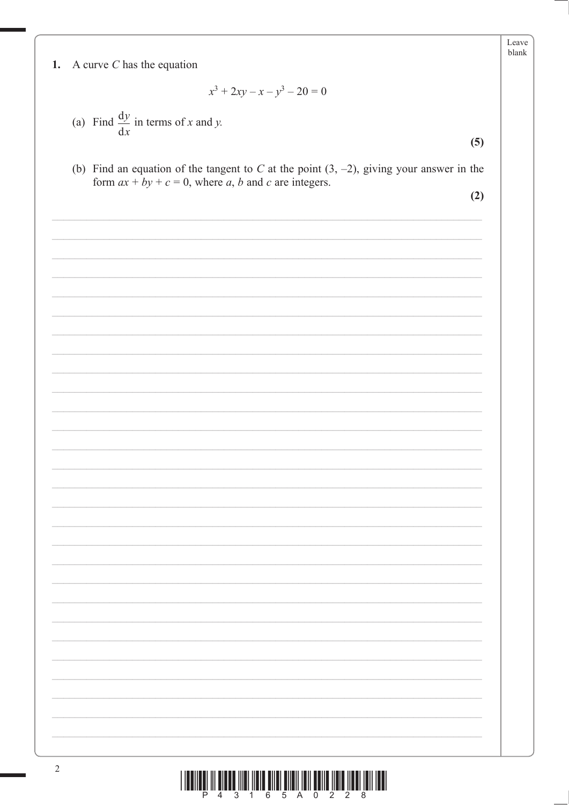blank 1. A curve  $C$  has the equation  $x^3 + 2xy - x - y^3 - 20 = 0$ (a) Find  $\frac{dy}{dx}$  in terms of x and y.  $(5)$ (b) Find an equation of the tangent to C at the point  $(3, -2)$ , giving your answer in the form  $ax + by + c = 0$ , where a, b and c are integers.  $(2)$  $\sqrt{2}$ 

Leave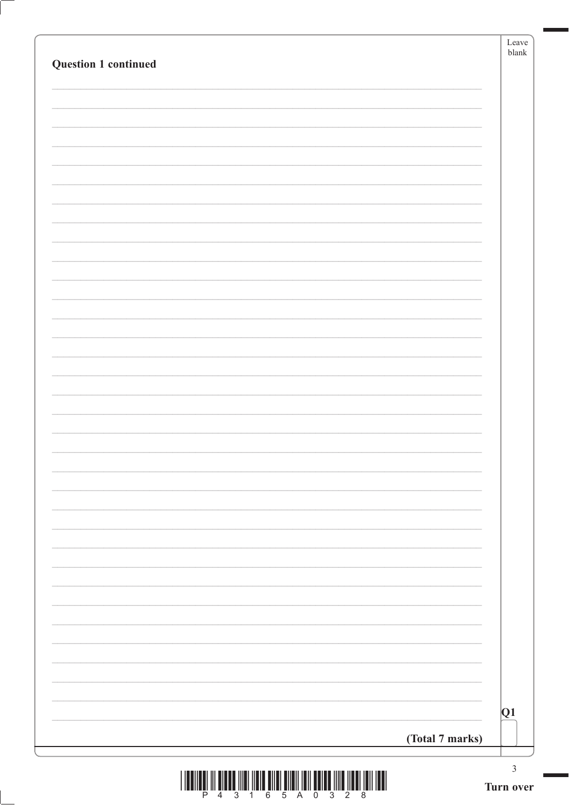| <b>Question 1 continued</b>                                                                                                                                                                                                                                                                                                                                                                                                                                   |                 | Leave<br>blank |
|---------------------------------------------------------------------------------------------------------------------------------------------------------------------------------------------------------------------------------------------------------------------------------------------------------------------------------------------------------------------------------------------------------------------------------------------------------------|-----------------|----------------|
|                                                                                                                                                                                                                                                                                                                                                                                                                                                               |                 |                |
|                                                                                                                                                                                                                                                                                                                                                                                                                                                               |                 |                |
|                                                                                                                                                                                                                                                                                                                                                                                                                                                               |                 |                |
|                                                                                                                                                                                                                                                                                                                                                                                                                                                               |                 |                |
|                                                                                                                                                                                                                                                                                                                                                                                                                                                               |                 |                |
|                                                                                                                                                                                                                                                                                                                                                                                                                                                               |                 |                |
|                                                                                                                                                                                                                                                                                                                                                                                                                                                               |                 |                |
|                                                                                                                                                                                                                                                                                                                                                                                                                                                               |                 |                |
|                                                                                                                                                                                                                                                                                                                                                                                                                                                               |                 |                |
|                                                                                                                                                                                                                                                                                                                                                                                                                                                               |                 |                |
|                                                                                                                                                                                                                                                                                                                                                                                                                                                               |                 |                |
|                                                                                                                                                                                                                                                                                                                                                                                                                                                               |                 |                |
|                                                                                                                                                                                                                                                                                                                                                                                                                                                               |                 |                |
|                                                                                                                                                                                                                                                                                                                                                                                                                                                               |                 |                |
|                                                                                                                                                                                                                                                                                                                                                                                                                                                               |                 |                |
|                                                                                                                                                                                                                                                                                                                                                                                                                                                               |                 |                |
|                                                                                                                                                                                                                                                                                                                                                                                                                                                               |                 |                |
|                                                                                                                                                                                                                                                                                                                                                                                                                                                               |                 |                |
|                                                                                                                                                                                                                                                                                                                                                                                                                                                               |                 |                |
|                                                                                                                                                                                                                                                                                                                                                                                                                                                               |                 |                |
|                                                                                                                                                                                                                                                                                                                                                                                                                                                               |                 |                |
|                                                                                                                                                                                                                                                                                                                                                                                                                                                               |                 |                |
|                                                                                                                                                                                                                                                                                                                                                                                                                                                               |                 |                |
|                                                                                                                                                                                                                                                                                                                                                                                                                                                               |                 |                |
|                                                                                                                                                                                                                                                                                                                                                                                                                                                               |                 |                |
|                                                                                                                                                                                                                                                                                                                                                                                                                                                               |                 |                |
|                                                                                                                                                                                                                                                                                                                                                                                                                                                               |                 |                |
|                                                                                                                                                                                                                                                                                                                                                                                                                                                               |                 |                |
|                                                                                                                                                                                                                                                                                                                                                                                                                                                               |                 |                |
|                                                                                                                                                                                                                                                                                                                                                                                                                                                               |                 |                |
|                                                                                                                                                                                                                                                                                                                                                                                                                                                               |                 | Q1             |
|                                                                                                                                                                                                                                                                                                                                                                                                                                                               | (Total 7 marks) |                |
|                                                                                                                                                                                                                                                                                                                                                                                                                                                               |                 | $\mathfrak{Z}$ |
| $\begin{array}{c} \text{if} \ \text{if} \ \text{if} \ \text{if} \ \text{if} \ \text{if} \ \text{if} \ \text{if} \ \text{if} \ \text{if} \ \text{if} \ \text{if} \ \text{if} \ \text{if} \ \text{if} \ \text{if} \ \text{if} \ \text{if} \ \text{if} \ \text{if} \ \text{if} \ \text{if} \ \text{if} \ \text{if} \ \text{if} \ \text{if} \ \text{if} \ \text{if} \ \text{if} \ \text{if} \ \text{if} \ \text{if} \ \text{if} \ \text{if} \ \text{if} \ \text{$ |                 | Turn over      |

ſ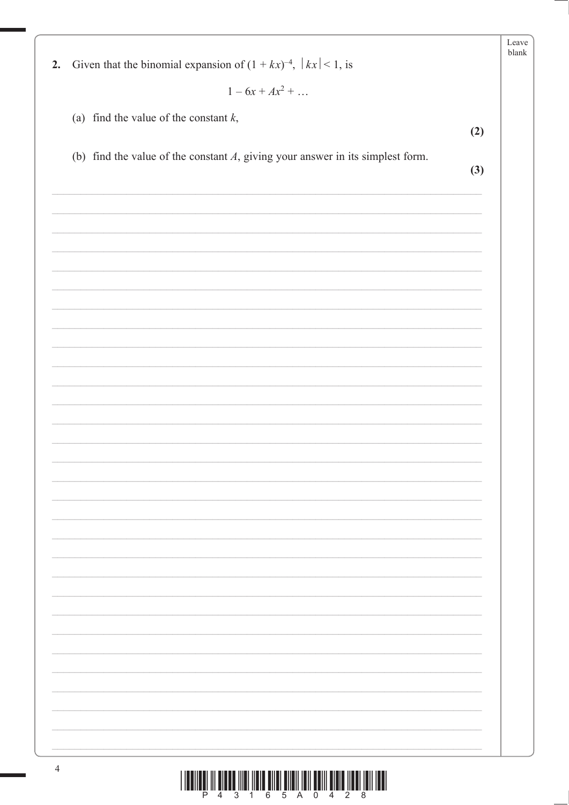| $1-6x+Ax^2+$                                                                      |     |
|-----------------------------------------------------------------------------------|-----|
|                                                                                   |     |
| (a) find the value of the constant $k$ ,                                          | (2) |
| (b) find the value of the constant $A$ , giving your answer in its simplest form. | (3) |
|                                                                                   |     |
|                                                                                   |     |
|                                                                                   |     |
|                                                                                   |     |
|                                                                                   |     |
|                                                                                   |     |
|                                                                                   |     |
|                                                                                   |     |
|                                                                                   |     |
|                                                                                   |     |
|                                                                                   |     |
|                                                                                   |     |
|                                                                                   |     |
|                                                                                   |     |
|                                                                                   |     |
|                                                                                   |     |
|                                                                                   |     |
|                                                                                   |     |
|                                                                                   |     |
|                                                                                   |     |
|                                                                                   |     |
|                                                                                   |     |
|                                                                                   |     |
|                                                                                   |     |
|                                                                                   |     |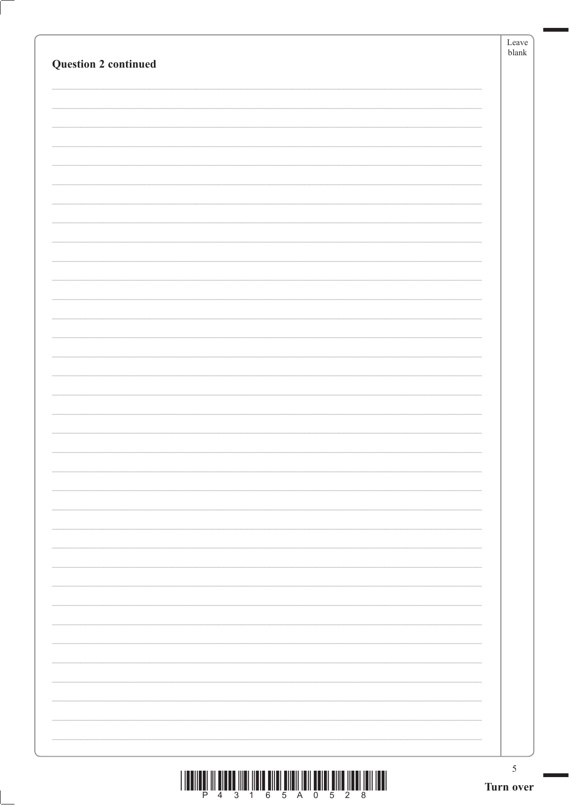|                             | Leave<br>${\it blank}$ |
|-----------------------------|------------------------|
| <b>Question 2 continued</b> |                        |
|                             |                        |
|                             |                        |
|                             |                        |
|                             |                        |
|                             |                        |
|                             |                        |
|                             |                        |
|                             |                        |
|                             |                        |
|                             |                        |
|                             |                        |
|                             |                        |
|                             |                        |
|                             |                        |
|                             |                        |
|                             |                        |
|                             |                        |
|                             |                        |
|                             |                        |
|                             |                        |
|                             |                        |
|                             |                        |
|                             |                        |
|                             |                        |
|                             |                        |
|                             |                        |
|                             |                        |
|                             |                        |
|                             |                        |
|                             |                        |
|                             |                        |
|                             |                        |
|                             |                        |
|                             |                        |
|                             |                        |
|                             |                        |
|                             |                        |
|                             |                        |
|                             | $\sqrt{5}$             |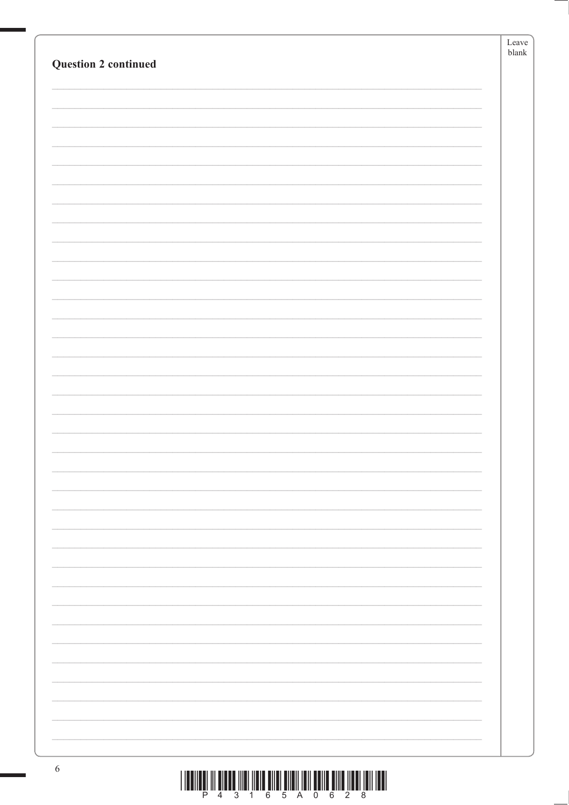| <b>Question 2 continued</b> | Leave<br>${\tt blank}$ |
|-----------------------------|------------------------|
|                             |                        |
|                             |                        |
|                             |                        |
|                             |                        |
|                             |                        |
|                             |                        |
|                             |                        |
|                             |                        |
|                             |                        |
|                             |                        |
|                             |                        |
|                             |                        |
|                             |                        |
|                             |                        |
|                             |                        |
|                             |                        |
|                             |                        |
|                             |                        |
|                             |                        |
|                             |                        |
|                             |                        |
|                             |                        |
|                             |                        |
|                             |                        |
|                             |                        |
|                             |                        |
|                             |                        |
|                             |                        |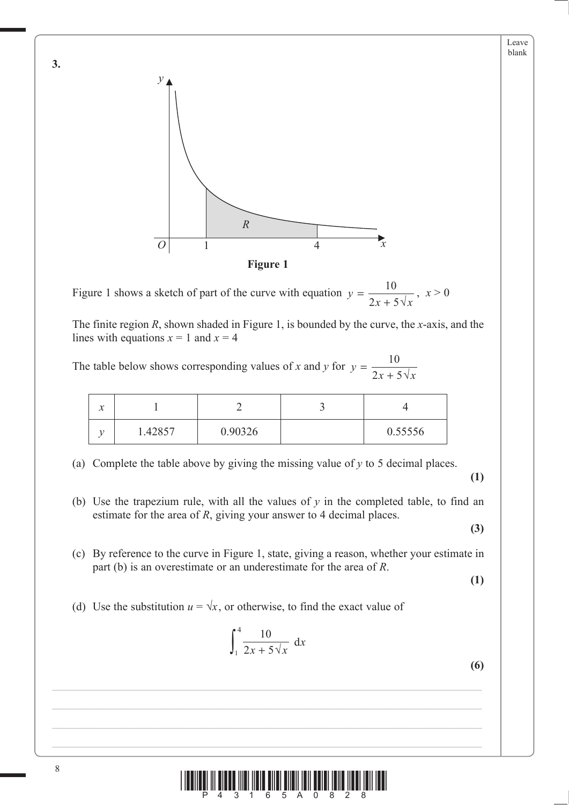

**Figure 1**

Figure 1 shows a sketch of part of the curve with equation  $y = \frac{10}{2x + 5\sqrt{x}}$ 10  $\frac{10}{2x+5\sqrt{x}}$ ,  $x > 0$ 

The finite region *R*, shown shaded in Figure 1, is bounded by the curve, the *x*-axis, and the lines with equations  $x = 1$  and  $x = 4$ 

The table below shows corresponding values of *x* and *y* for  $y = \frac{10}{2x + 5\sqrt{x}}$ 10  $2x + 5\sqrt{2}$ 

| $\bullet$<br>л |         |         |         |
|----------------|---------|---------|---------|
|                | 1.42857 | 0.90326 | 0.55556 |

(a) Complete the table above by giving the missing value of *y* to 5 decimal places.

**(1)**

Leave blank

 (b) Use the trapezium rule, with all the values of *y* in the completed table, to find an estimate for the area of *R*, giving your answer to 4 decimal places.

**(3)**

 (c) By reference to the curve in Figure 1, state, giving a reason, whether your estimate in part (b) is an overestimate or an underestimate for the area of *R*.

**(1)**

(d) Use the substitution  $u = \sqrt{x}$ , or otherwise, to find the exact value of

$$
\int_{1}^{4} \frac{10}{2x + 5\sqrt{x}} \, \mathrm{d}x
$$

**(6)**



**3.**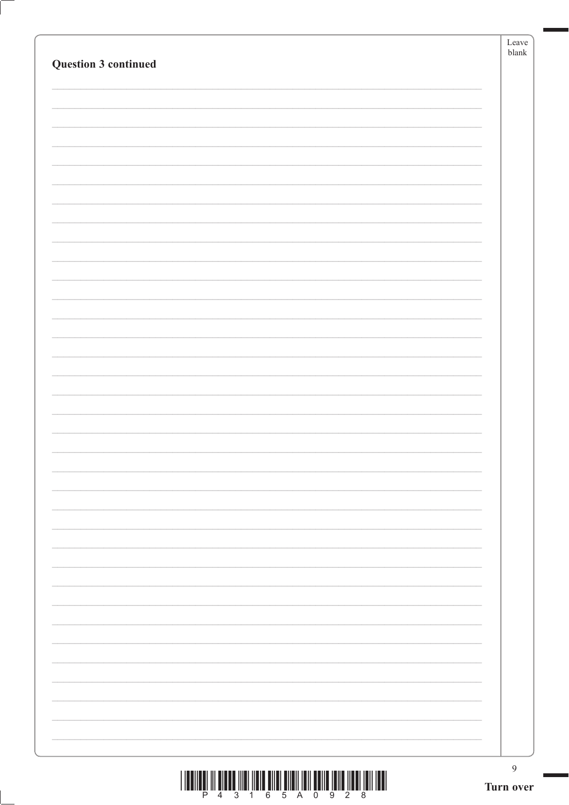| Question 3 continued                                                                | Leave<br>${\it blank}$ |
|-------------------------------------------------------------------------------------|------------------------|
|                                                                                     |                        |
|                                                                                     |                        |
|                                                                                     |                        |
|                                                                                     |                        |
|                                                                                     |                        |
|                                                                                     |                        |
|                                                                                     |                        |
|                                                                                     |                        |
|                                                                                     |                        |
|                                                                                     |                        |
|                                                                                     |                        |
|                                                                                     |                        |
|                                                                                     |                        |
|                                                                                     |                        |
|                                                                                     |                        |
|                                                                                     |                        |
|                                                                                     |                        |
|                                                                                     |                        |
|                                                                                     |                        |
|                                                                                     |                        |
|                                                                                     |                        |
|                                                                                     |                        |
|                                                                                     |                        |
|                                                                                     |                        |
|                                                                                     |                        |
|                                                                                     |                        |
|                                                                                     |                        |
| <u>וה של הוא האמון שהוא אותם החדש הוא המוזה ושהוא שהוא המוזה שהשום הוו השהוא הו</u> | $\boldsymbol{9}$       |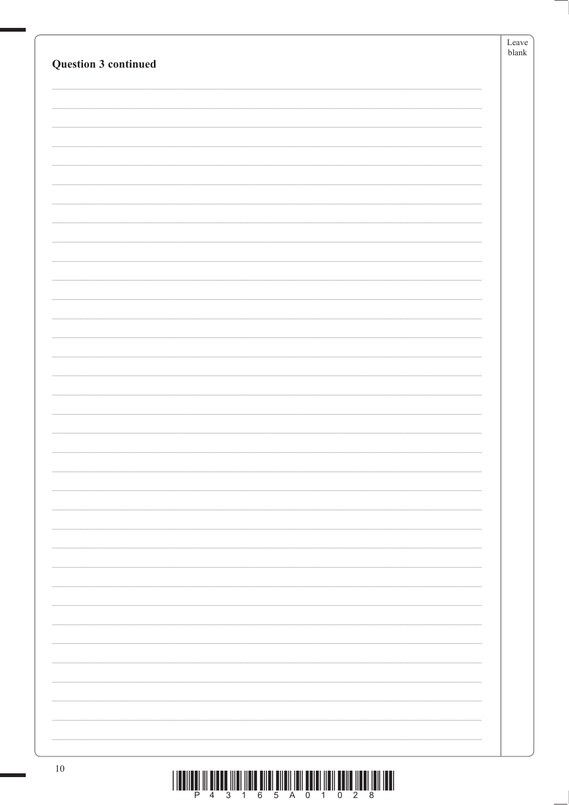| Question 3 continued | Leave<br>${\sf blank}$ |
|----------------------|------------------------|
|                      |                        |
|                      |                        |
|                      |                        |
|                      |                        |
|                      |                        |
|                      |                        |
|                      |                        |
|                      |                        |
|                      |                        |
|                      |                        |
|                      |                        |
|                      |                        |
|                      |                        |
|                      |                        |
|                      |                        |
|                      |                        |
|                      |                        |
|                      |                        |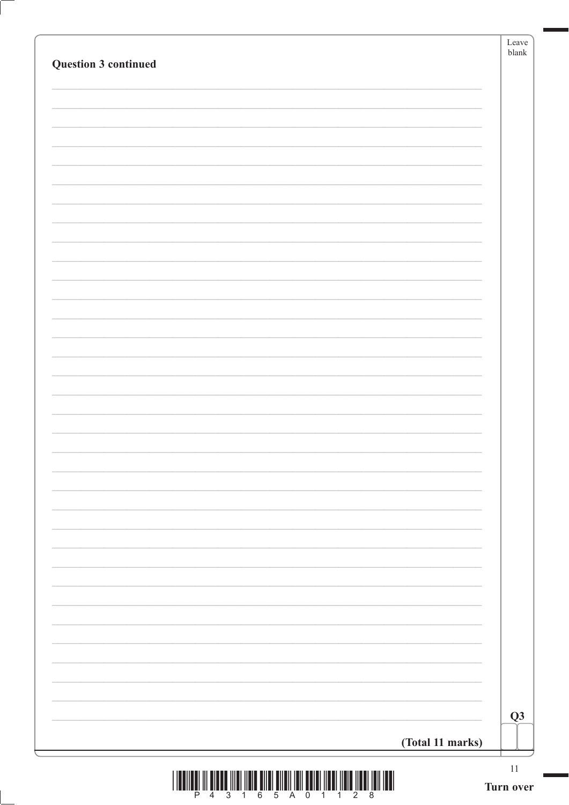| Question 3 continued |                  | Leave<br>$b$ lank |
|----------------------|------------------|-------------------|
|                      |                  |                   |
|                      |                  |                   |
|                      |                  |                   |
|                      |                  |                   |
|                      |                  |                   |
|                      |                  |                   |
|                      |                  |                   |
|                      |                  |                   |
|                      |                  |                   |
|                      |                  |                   |
|                      |                  |                   |
|                      |                  |                   |
|                      |                  |                   |
|                      |                  |                   |
|                      |                  |                   |
|                      |                  |                   |
|                      |                  |                   |
|                      |                  |                   |
|                      |                  |                   |
|                      |                  |                   |
|                      |                  |                   |
|                      |                  |                   |
|                      |                  |                   |
|                      |                  |                   |
|                      |                  |                   |
|                      |                  |                   |
|                      |                  | Q3                |
|                      | (Total 11 marks) |                   |

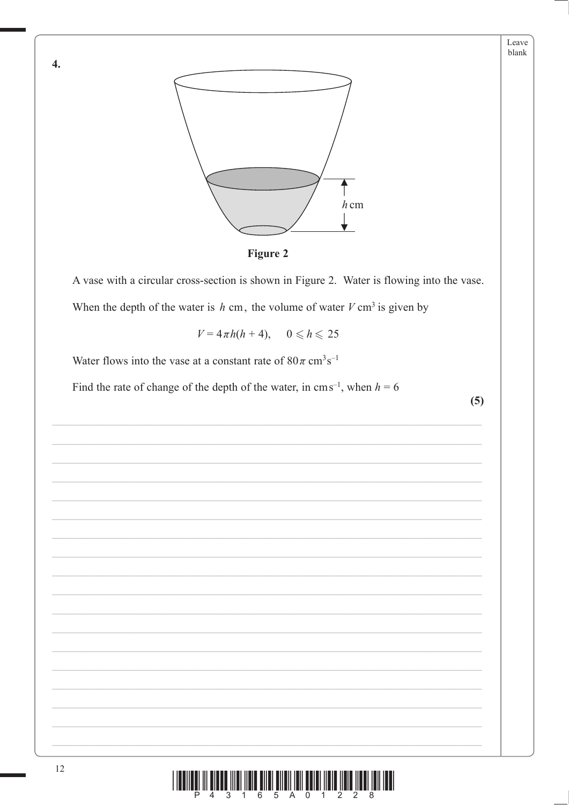



A vase with a circular cross-section is shown in Figure 2. Water is flowing into the vase. When the depth of the water is  $h$  cm, the volume of water  $V \text{ cm}^3$  is given by

 $V = 4 \pi h(h + 4), \quad 0 \le h \le 25$ 

Water flows into the vase at a constant rate of  $80\pi$  cm<sup>3</sup>s<sup>-1</sup>

Find the rate of change of the depth of the water, in cm s<sup>-1</sup>, when  $h = 6$ 

 $(5)$ 

Leave blank



 $\overline{4}$ .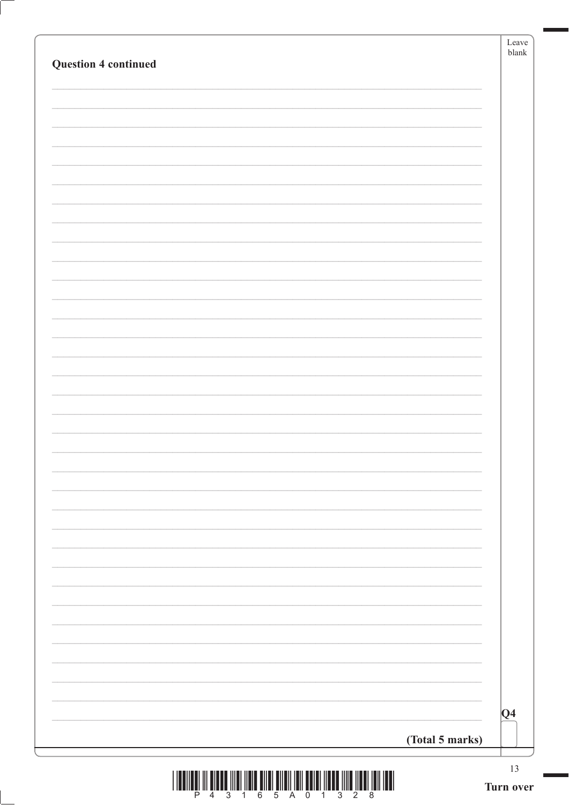| <b>Question 4 continued</b> | Leave<br>$b$ lank |
|-----------------------------|-------------------|
|                             |                   |
|                             |                   |
|                             |                   |
|                             |                   |
|                             |                   |
|                             |                   |
|                             |                   |
|                             |                   |
|                             |                   |
|                             |                   |
|                             |                   |
|                             |                   |
|                             |                   |
|                             |                   |
|                             |                   |
|                             |                   |
|                             |                   |
|                             |                   |
|                             |                   |
|                             |                   |
|                             |                   |
|                             |                   |
|                             |                   |
|                             |                   |
|                             |                   |
|                             |                   |
|                             |                   |
|                             |                   |
|                             |                   |
|                             | $ Q_4 $           |
|                             | (Total 5 marks)   |

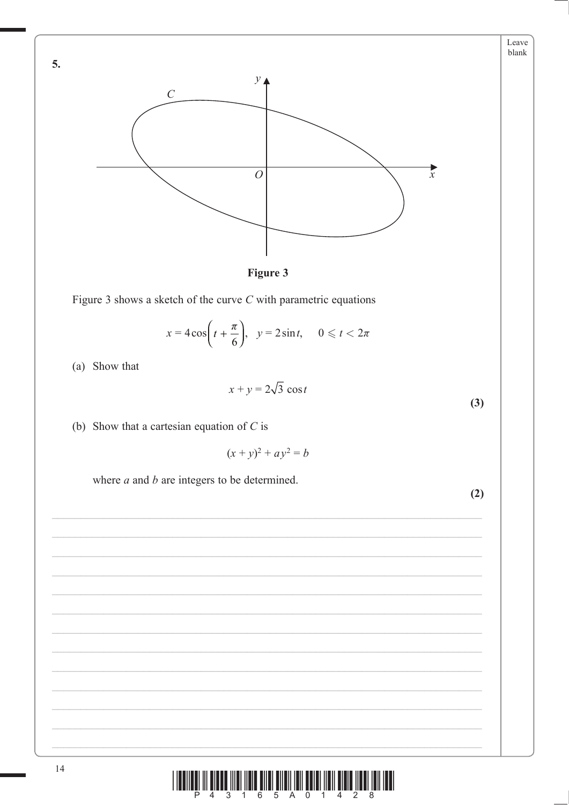

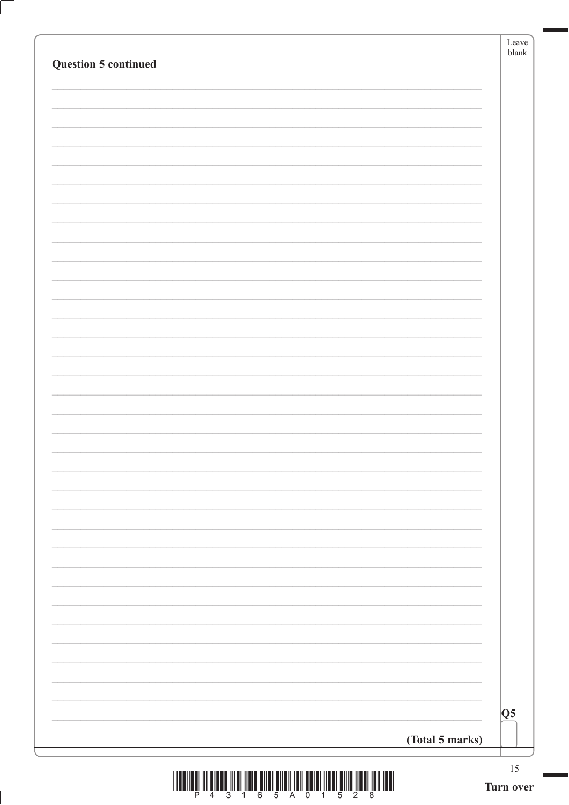|                             |                 | Leave<br>blank         |
|-----------------------------|-----------------|------------------------|
| <b>Question 5 continued</b> |                 |                        |
|                             |                 |                        |
|                             |                 |                        |
|                             |                 |                        |
|                             |                 |                        |
|                             |                 |                        |
|                             |                 |                        |
|                             |                 |                        |
|                             |                 |                        |
|                             |                 |                        |
|                             |                 |                        |
|                             |                 |                        |
|                             |                 |                        |
|                             |                 |                        |
|                             |                 |                        |
|                             |                 |                        |
|                             |                 |                        |
|                             |                 |                        |
|                             |                 |                        |
|                             |                 |                        |
|                             |                 |                        |
|                             |                 |                        |
|                             |                 |                        |
|                             |                 |                        |
|                             |                 |                        |
|                             |                 |                        |
|                             |                 |                        |
|                             |                 |                        |
|                             |                 |                        |
|                             |                 |                        |
|                             |                 |                        |
|                             |                 | $\overline{\text{Q5}}$ |
|                             | (Total 5 marks) |                        |

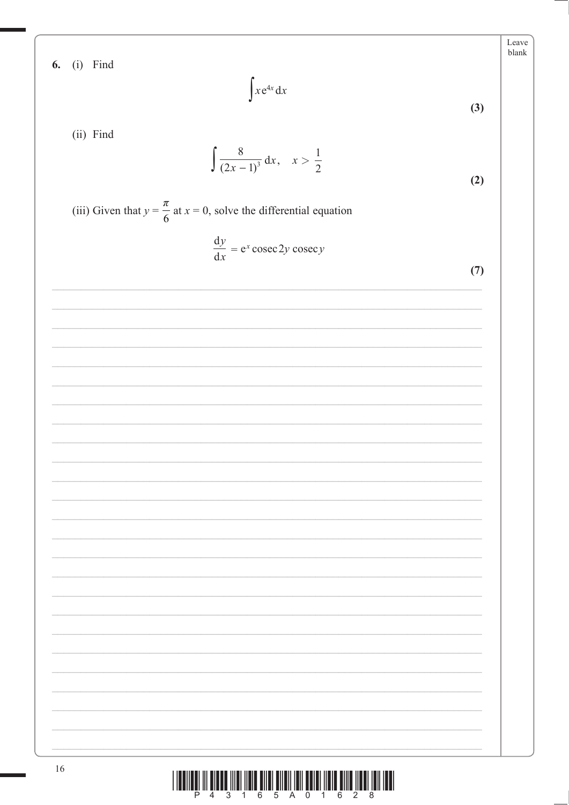Leave blank **6.** (i) Find  $\int x e^{4x} dx$  $(3)$ (ii) Find  $\int \frac{8}{(2x-1)^3} dx$ ,  $x > \frac{1}{2}$  $(2)$ (iii) Given that  $y = \frac{\pi}{6}$  at  $x = 0$ , solve the differential equation  $\frac{dy}{dx} = e^x \csc 2y \csc y$  $(7)$ 

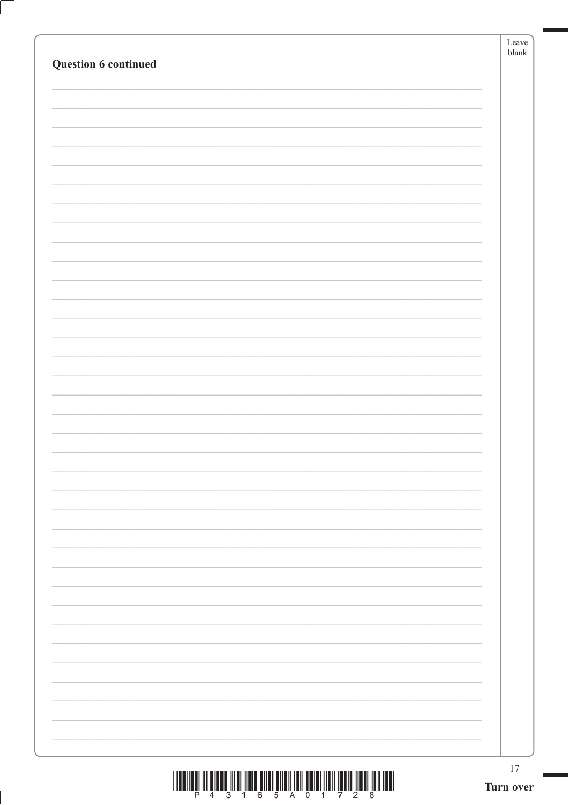| $\begin{array}{c} \text{if} \ \text{if} \ \text{if} \ \text{if} \ \text{if} \ \text{if} \ \text{if} \ \text{if} \ \text{if} \ \text{if} \ \text{if} \ \text{if} \ \text{if} \ \text{if} \ \text{if} \ \text{if} \ \text{if} \ \text{if} \ \text{if} \ \text{if} \ \text{if} \ \text{if} \ \text{if} \ \text{if} \ \text{if} \ \text{if} \ \text{if} \ \text{if} \ \text{if} \ \text{if} \ \text{if} \ \text{if} \ \text{if} \ \text{if} \ \text{if} \ \text{$ | $17$ |
|---------------------------------------------------------------------------------------------------------------------------------------------------------------------------------------------------------------------------------------------------------------------------------------------------------------------------------------------------------------------------------------------------------------------------------------------------------------|------|
|                                                                                                                                                                                                                                                                                                                                                                                                                                                               |      |
|                                                                                                                                                                                                                                                                                                                                                                                                                                                               |      |
|                                                                                                                                                                                                                                                                                                                                                                                                                                                               |      |
|                                                                                                                                                                                                                                                                                                                                                                                                                                                               |      |
|                                                                                                                                                                                                                                                                                                                                                                                                                                                               |      |
|                                                                                                                                                                                                                                                                                                                                                                                                                                                               |      |
|                                                                                                                                                                                                                                                                                                                                                                                                                                                               |      |
|                                                                                                                                                                                                                                                                                                                                                                                                                                                               |      |
|                                                                                                                                                                                                                                                                                                                                                                                                                                                               |      |
|                                                                                                                                                                                                                                                                                                                                                                                                                                                               |      |
|                                                                                                                                                                                                                                                                                                                                                                                                                                                               |      |
| Question 6 continued                                                                                                                                                                                                                                                                                                                                                                                                                                          |      |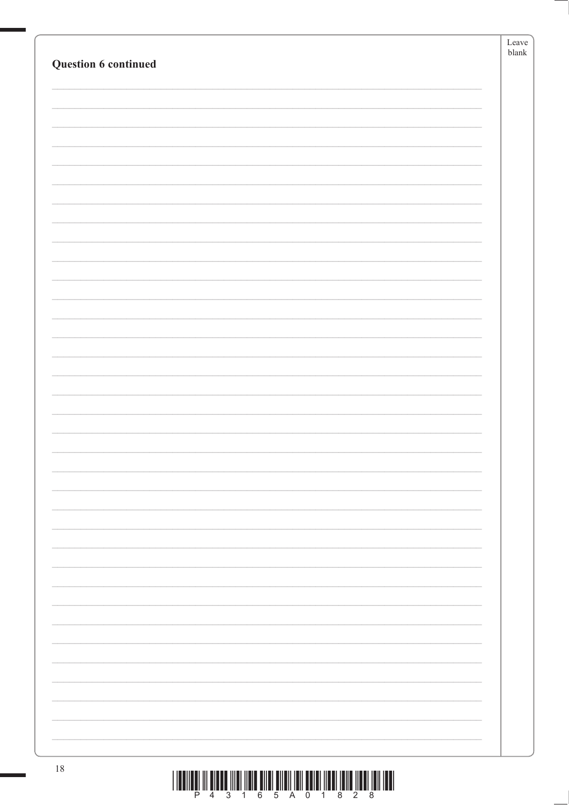|                                                                                                              | Leave         |
|--------------------------------------------------------------------------------------------------------------|---------------|
| Question 6 continued                                                                                         | ${\tt blank}$ |
|                                                                                                              |               |
|                                                                                                              |               |
|                                                                                                              |               |
|                                                                                                              |               |
|                                                                                                              |               |
|                                                                                                              |               |
|                                                                                                              |               |
|                                                                                                              |               |
|                                                                                                              |               |
|                                                                                                              |               |
|                                                                                                              |               |
|                                                                                                              |               |
|                                                                                                              |               |
|                                                                                                              |               |
|                                                                                                              |               |
|                                                                                                              |               |
|                                                                                                              |               |
|                                                                                                              |               |
|                                                                                                              |               |
|                                                                                                              |               |
|                                                                                                              |               |
|                                                                                                              |               |
|                                                                                                              |               |
|                                                                                                              |               |
|                                                                                                              |               |
|                                                                                                              |               |
|                                                                                                              |               |
|                                                                                                              |               |
|                                                                                                              |               |
|                                                                                                              |               |
|                                                                                                              |               |
|                                                                                                              |               |
|                                                                                                              |               |
|                                                                                                              |               |
|                                                                                                              |               |
|                                                                                                              |               |
|                                                                                                              |               |
|                                                                                                              |               |
|                                                                                                              |               |
| 18<br><u>. Indianal III diddo illai ligin dila bilan illai lai dalah ilay ilay ilay ilay ilay ilay ilay </u> |               |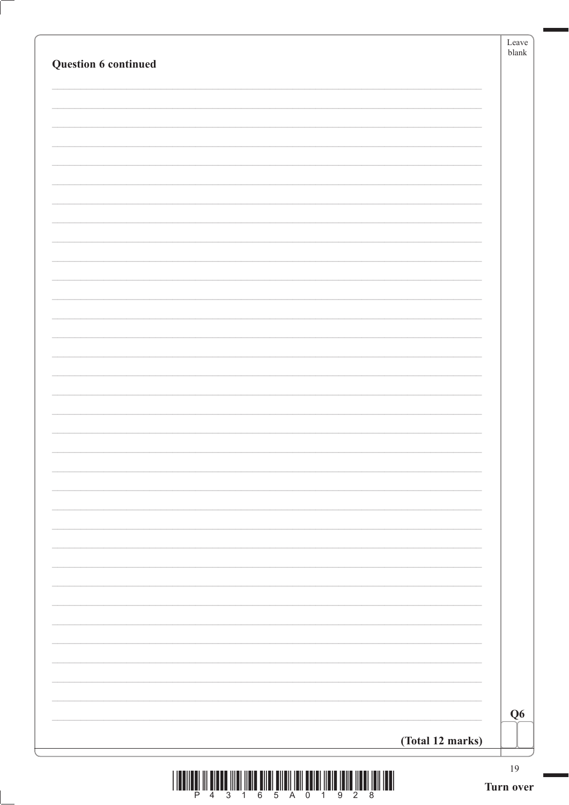| Question 6 continued |                  | Leave<br>blank |
|----------------------|------------------|----------------|
|                      |                  |                |
|                      |                  |                |
|                      |                  |                |
|                      |                  |                |
|                      |                  |                |
|                      |                  |                |
|                      |                  |                |
|                      |                  |                |
|                      |                  |                |
|                      |                  |                |
|                      |                  |                |
|                      |                  |                |
|                      |                  |                |
|                      |                  |                |
|                      |                  |                |
|                      |                  |                |
|                      |                  |                |
|                      |                  |                |
|                      |                  |                |
|                      |                  |                |
|                      |                  |                |
|                      |                  |                |
|                      |                  |                |
|                      |                  |                |
|                      |                  |                |
|                      |                  |                |
|                      |                  |                |
|                      |                  |                |
|                      |                  |                |
|                      |                  |                |
|                      |                  |                |
|                      |                  |                |
|                      |                  | Q <sub>6</sub> |
|                      |                  |                |
|                      | (Total 12 marks) |                |

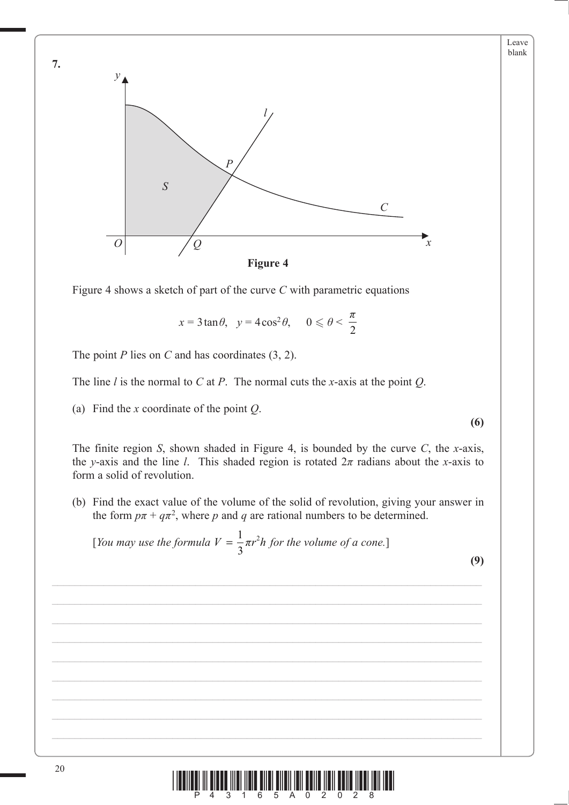

Figure 4 shows a sketch of part of the curve *C* with parametric equations

 $x = 3 \tan \theta$ ,  $y = 4 \cos^2 \theta$ ,  $0 \le \theta < \frac{\pi}{2}$ *π*

The point *P* lies on *C* and has coordinates (3, 2).

The line *l* is the normal to *C* at *P*. The normal cuts the *x*-axis at the point *Q*.

(a) Find the *x* coordinate of the point *Q*.

The finite region *S*, shown shaded in Figure 4, is bounded by the curve *C*, the *x*-axis, the *y*-axis and the line *l*. This shaded region is rotated  $2\pi$  radians about the *x*-axis to form a solid of revolution.

 (b) Find the exact value of the volume of the solid of revolution, giving your answer in the form  $p\pi + q\pi^2$ , where p and q are rational numbers to be determined.

 $\mathcal{L}_\text{max} = \mathcal{L}_\text{max} = \mathcal{L}_\text{max} = \mathcal{L}_\text{max} = \mathcal{L}_\text{max} = \mathcal{L}_\text{max} = \mathcal{L}_\text{max} = \mathcal{L}_\text{max} = \mathcal{L}_\text{max} = \mathcal{L}_\text{max} = \mathcal{L}_\text{max} = \mathcal{L}_\text{max} = \mathcal{L}_\text{max} = \mathcal{L}_\text{max} = \mathcal{L}_\text{max} = \mathcal{L}_\text{max} = \mathcal{L}_\text{max} = \mathcal{L}_\text{max} = \mathcal{$ 

[*You may use the formula*  $V = \frac{1}{3} \pi r^2 h$  *for the volume of a cone.*]

**(9)**

20  $\left|\frac{1}{p}\right|\left|\left|\frac{1}{4}\right|\right|\left|\left|\frac{1}{2}\right|\right|\left|\left|\frac{1}{2}\right|\right|\left|\left|\frac{1}{2}\right|\right|\left|\left|\frac{1}{2}\right|\right|\left|\left|\frac{1}{2}\right|\right|\left|\left|\frac{1}{2}\right|\right|\left|\left|\frac{1}{2}\right|\right|\left|\left|\frac{1}{2}\right|\right|\left|\left|\frac{1}{2}\right|\right|\left|\left|\frac{1}{2}\right|\right|\left|\left|\frac{1}{2}\right|\right|\left|\left|\frac{1}{2}\right|\right|\left|\left|\frac{1}{2}\right|\right|\left|\left|\frac{1}{2}\$ 

**(6)**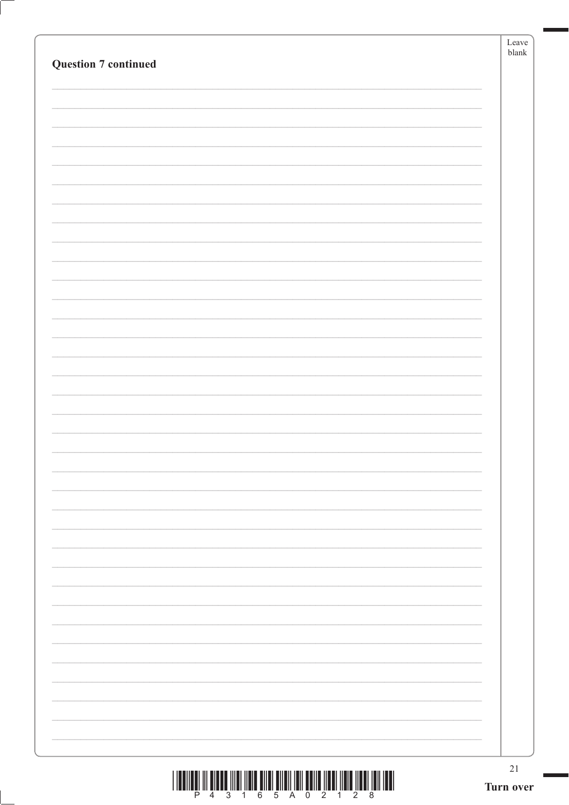|                             | $21\,$<br>Turn over |
|-----------------------------|---------------------|
|                             |                     |
|                             |                     |
|                             |                     |
|                             |                     |
|                             |                     |
|                             |                     |
|                             |                     |
|                             |                     |
|                             |                     |
|                             |                     |
|                             |                     |
|                             |                     |
|                             |                     |
|                             |                     |
|                             |                     |
|                             |                     |
|                             |                     |
|                             |                     |
|                             |                     |
|                             |                     |
|                             |                     |
|                             |                     |
|                             |                     |
|                             |                     |
|                             |                     |
| <b>Question 7 continued</b> |                     |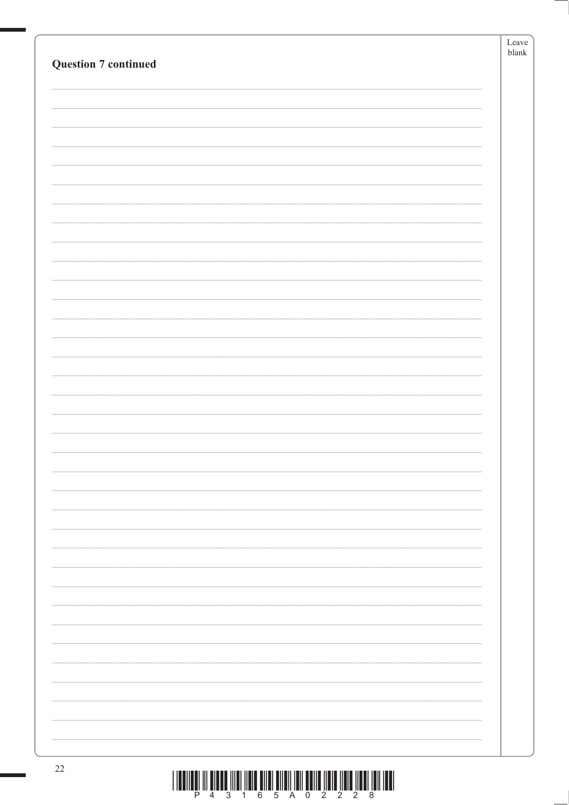| <b>Question 7 continued</b> | Leave<br>$\ensuremath{\textrm{blank}}$ |
|-----------------------------|----------------------------------------|
|                             |                                        |
|                             |                                        |
|                             |                                        |
|                             |                                        |
|                             |                                        |
|                             |                                        |
|                             |                                        |
|                             |                                        |
|                             |                                        |
|                             |                                        |
|                             |                                        |
|                             |                                        |
|                             |                                        |
|                             |                                        |
|                             |                                        |
|                             |                                        |
|                             |                                        |
|                             |                                        |
|                             |                                        |
|                             |                                        |
|                             |                                        |
|                             |                                        |
| $\mathcal{D}$               |                                        |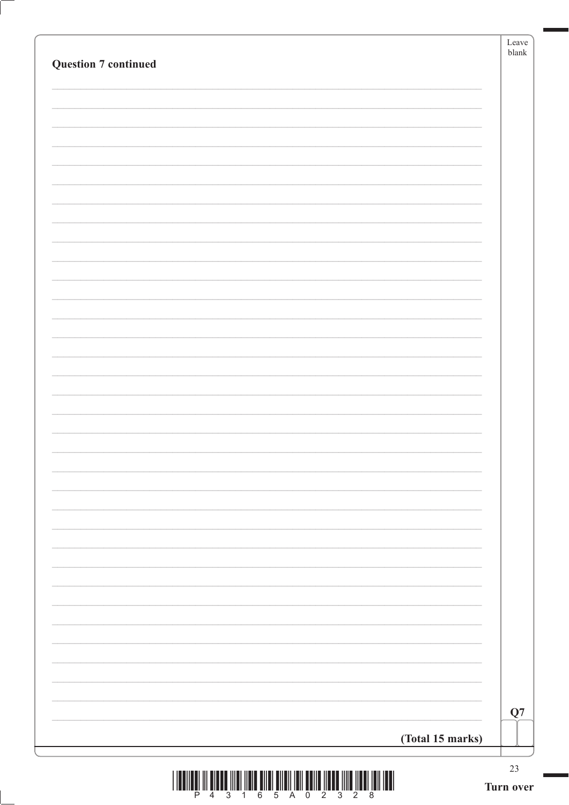|                             |                  | Leave<br>blank |
|-----------------------------|------------------|----------------|
| <b>Question 7 continued</b> |                  |                |
|                             |                  |                |
|                             |                  |                |
|                             |                  |                |
|                             |                  |                |
|                             |                  |                |
|                             |                  |                |
|                             |                  |                |
|                             |                  |                |
|                             |                  |                |
|                             |                  |                |
|                             |                  |                |
|                             |                  |                |
|                             |                  |                |
|                             |                  |                |
|                             |                  |                |
|                             |                  |                |
|                             |                  |                |
|                             |                  |                |
|                             |                  |                |
|                             |                  |                |
|                             |                  |                |
|                             |                  |                |
|                             |                  |                |
|                             |                  |                |
|                             |                  |                |
|                             |                  |                |
|                             |                  |                |
|                             |                  |                |
|                             |                  |                |
|                             |                  |                |
|                             |                  |                |
|                             |                  |                |
|                             |                  | Q7             |
|                             | (Total 15 marks) |                |
|                             |                  |                |
|                             |                  | $23\,$         |



ſ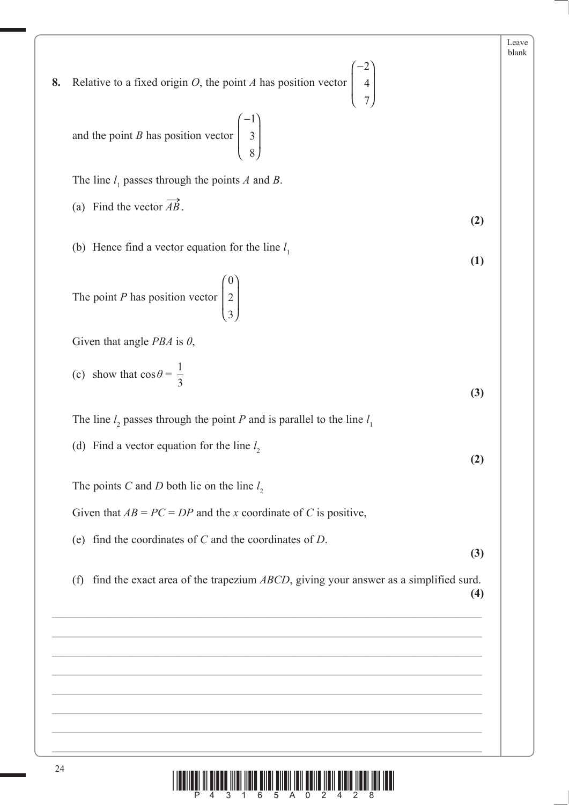|    |                                                                                                                      | Leave<br>blank |
|----|----------------------------------------------------------------------------------------------------------------------|----------------|
| 8. | Relative to a fixed origin <i>O</i> , the point <i>A</i> has position vector $\begin{bmatrix} -2 \\ 4 \end{bmatrix}$ |                |
|    | and the point <i>B</i> has position vector $\begin{pmatrix} -1 \\ 3 \\ 8 \end{pmatrix}$                              |                |
|    | The line $l_1$ passes through the points A and B.                                                                    |                |
|    | (a) Find the vector $\overrightarrow{AB}$ .<br>(2)                                                                   |                |
|    | (b) Hence find a vector equation for the line $l_1$<br>(1)                                                           |                |
|    | The point <i>P</i> has position vector $\begin{pmatrix} 0 \\ 2 \\ 3 \end{pmatrix}$                                   |                |
|    | Given that angle <i>PBA</i> is $\theta$ ,                                                                            |                |
|    | (c) show that $\cos \theta = \frac{1}{3}$<br>(3)                                                                     |                |
|    | The line $l_2$ passes through the point P and is parallel to the line $l_1$                                          |                |
|    | (d) Find a vector equation for the line $l_2$<br>(2)                                                                 |                |
|    | The points C and D both lie on the line $l_2$                                                                        |                |
|    | Given that $AB = PC = DP$ and the x coordinate of C is positive,                                                     |                |
|    | (e) find the coordinates of $C$ and the coordinates of $D$ .<br>(3)                                                  |                |
|    | find the exact area of the trapezium <i>ABCD</i> , giving your answer as a simplified surd.<br>(f)<br>(4)            |                |
|    |                                                                                                                      |                |
|    |                                                                                                                      |                |
|    |                                                                                                                      |                |
|    |                                                                                                                      |                |
|    |                                                                                                                      |                |
|    |                                                                                                                      |                |

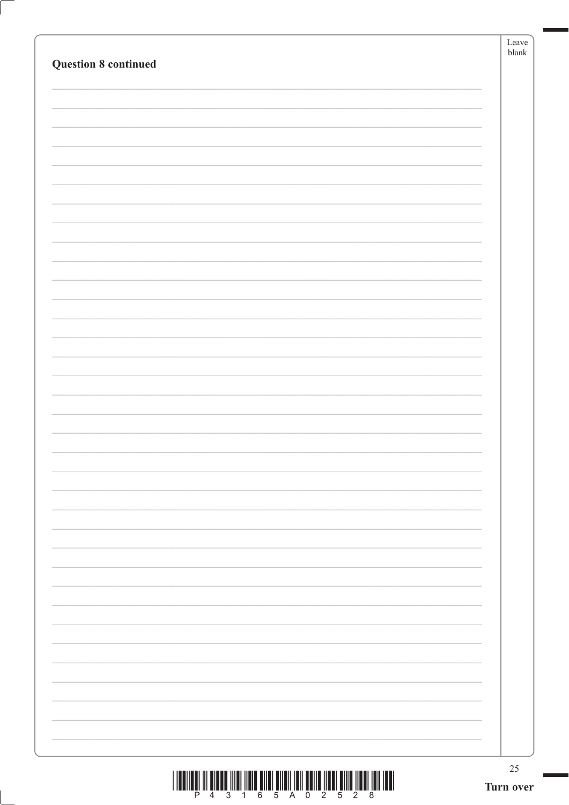|                             | 25<br>Turn over        |
|-----------------------------|------------------------|
|                             |                        |
|                             |                        |
|                             |                        |
|                             |                        |
|                             |                        |
|                             |                        |
|                             |                        |
|                             |                        |
|                             |                        |
|                             |                        |
|                             |                        |
|                             |                        |
|                             |                        |
|                             |                        |
|                             |                        |
| <b>Question 8 continued</b> | Leave<br>${\sf blank}$ |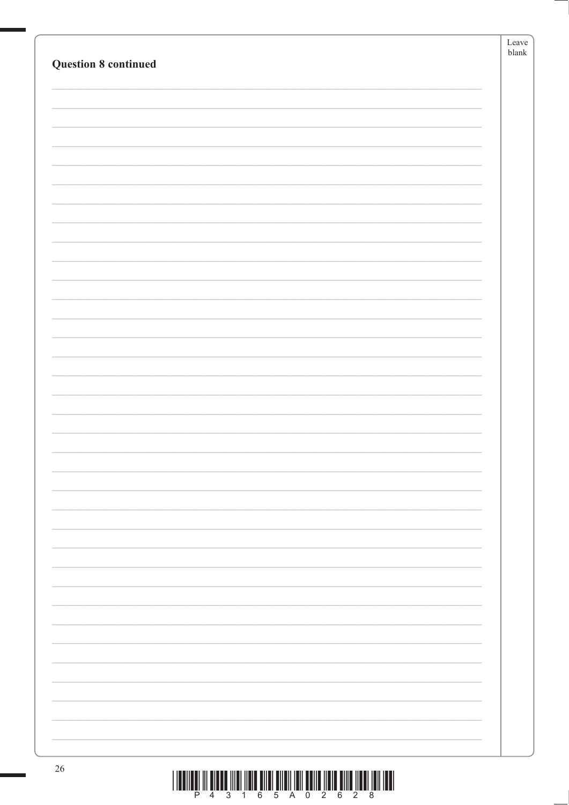|                             | Leave |
|-----------------------------|-------|
|                             | blank |
| <b>Question 8 continued</b> |       |
|                             |       |
|                             |       |
|                             |       |
|                             |       |
|                             |       |
|                             |       |
|                             |       |
|                             |       |
|                             |       |
|                             |       |
|                             |       |
|                             |       |
|                             |       |
|                             |       |
|                             |       |
|                             |       |
|                             |       |
|                             |       |
|                             |       |
|                             |       |
|                             |       |
|                             |       |
|                             |       |
|                             |       |
|                             |       |
|                             |       |
|                             |       |
|                             |       |
|                             |       |
|                             |       |
|                             |       |
|                             |       |
|                             |       |
|                             |       |
|                             |       |
|                             |       |
|                             |       |
|                             |       |
|                             |       |
|                             |       |
|                             |       |
|                             |       |
|                             |       |
|                             |       |
|                             |       |
|                             |       |
|                             |       |
|                             |       |
| 26                          |       |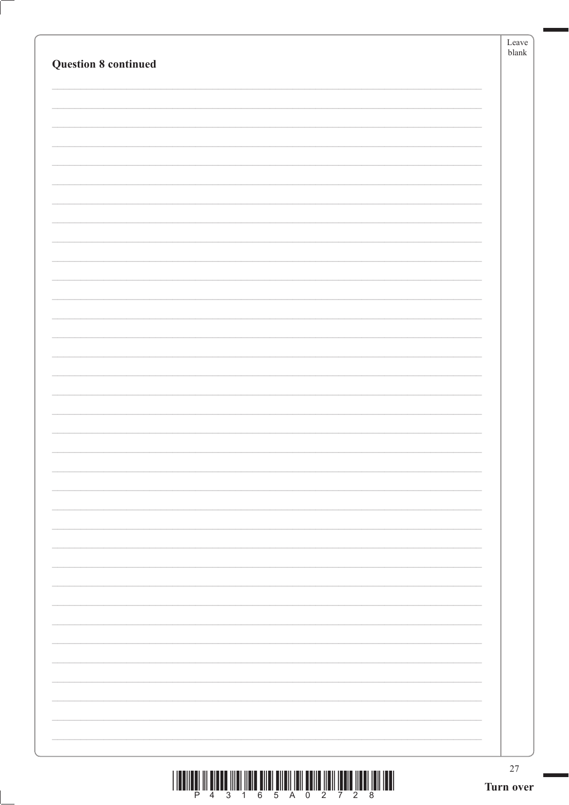|                             | $27\,$<br>Turn over |
|-----------------------------|---------------------|
|                             |                     |
|                             |                     |
|                             |                     |
|                             |                     |
|                             |                     |
|                             |                     |
|                             |                     |
|                             |                     |
|                             |                     |
|                             |                     |
|                             |                     |
|                             |                     |
|                             |                     |
|                             |                     |
|                             |                     |
| <b>Question 8 continued</b> | Leave<br>blank      |